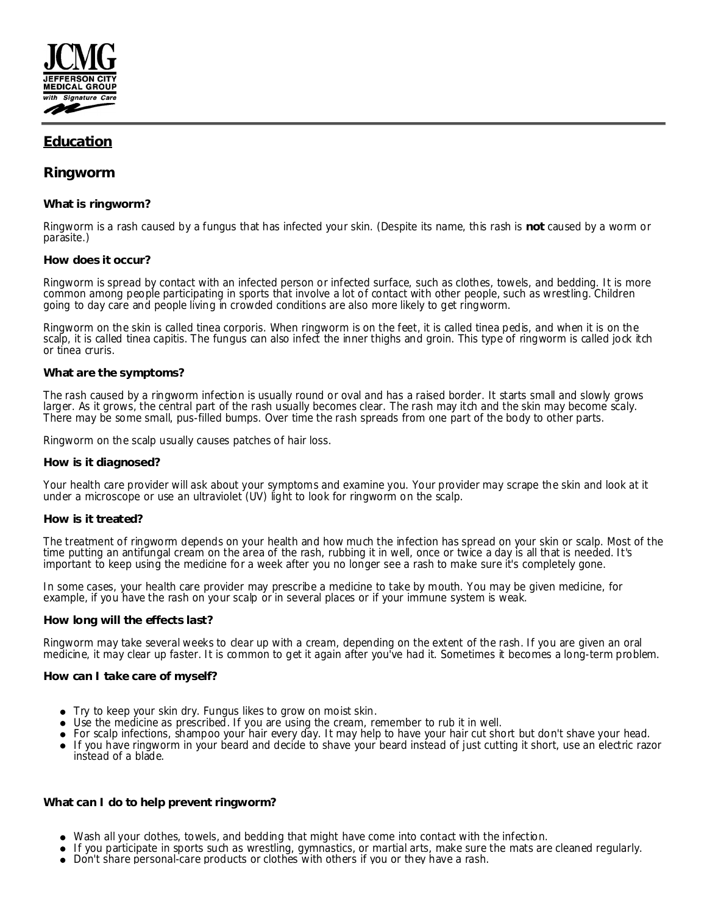

# **Education**

## **Ringworm**

### **What is ringworm?**

Ringworm is a rash caused by a fungus that has infected your skin. (Despite its name, this rash is **not** caused by a worm or parasite.)

#### **How does it occur?**

Ringworm is spread by contact with an infected person or infected surface, such as clothes, towels, and bedding. It is more common among people participating in sports that involve a lot of contact with other people, such as wrestling. Children going to day care and people living in crowded conditions are also more likely to get ringworm.

Ringworm on the skin is called tinea corporis. When ringworm is on the feet, it is called tinea pedis, and when it is on the scalp, it is called tinea capitis. The fungus can also infect the inner thighs and groin. This type of ringworm is called jock itch or tinea cruris.

#### **What are the symptoms?**

The rash caused by a ringworm infection is usually round or oval and has a raised border. It starts small and slowly grows larger. As it grows, the central part of the rash usually becomes clear. The rash may itch and the skin may become scaly. There may be some small, pus-filled bumps. Over time the rash spreads from one part of the body to other parts.

Ringworm on the scalp usually causes patches of hair loss.

#### **How is it diagnosed?**

Your health care provider will ask about your symptoms and examine you. Your provider may scrape the skin and look at it under a microscope or use an ultraviolet (UV) light to look for ringworm on the scalp.

#### **How is it treated?**

The treatment of ringworm depends on your health and how much the infection has spread on your skin or scalp. Most of the time putting an antifungal cream on the area of the rash, rubbing it in well, once or twice a day is all that is needed. It's important to keep using the medicine for a week after you no longer see a rash to make sure it's completely gone.

In some cases, your health care provider may prescribe a medicine to take by mouth. You may be given medicine, for example, if you have the rash on your scalp or in several places or if your immune system is weak.

#### **How long will the effects last?**

Ringworm may take several weeks to clear up with a cream, depending on the extent of the rash. If you are given an oral medicine, it may clear up faster. It is common to get it again after you've had it. Sometimes it becomes a long-term problem.

#### **How can I take care of myself?**

- Try to keep your skin dry. Fungus likes to grow on moist skin.
- Use the medicine as prescribed. If you are using the cream, remember to rub it in well.
- For scalp infections, shampoo your hair every day. It may help to have your hair cut short but don't shave your head.
- If you have ringworm in your beard and decide to shave your beard instead of just cutting it short, use an electric razor instead of a blade.

**What can I do to help prevent ringworm?**

- Wash all your clothes, towels, and bedding that might have come into contact with the infection.
- If you participate in sports such as wrestling, gymnastics, or martial arts, make sure the mats are cleaned regularly.
- Don't share personal-care products or clothes with others if you or they have a rash.